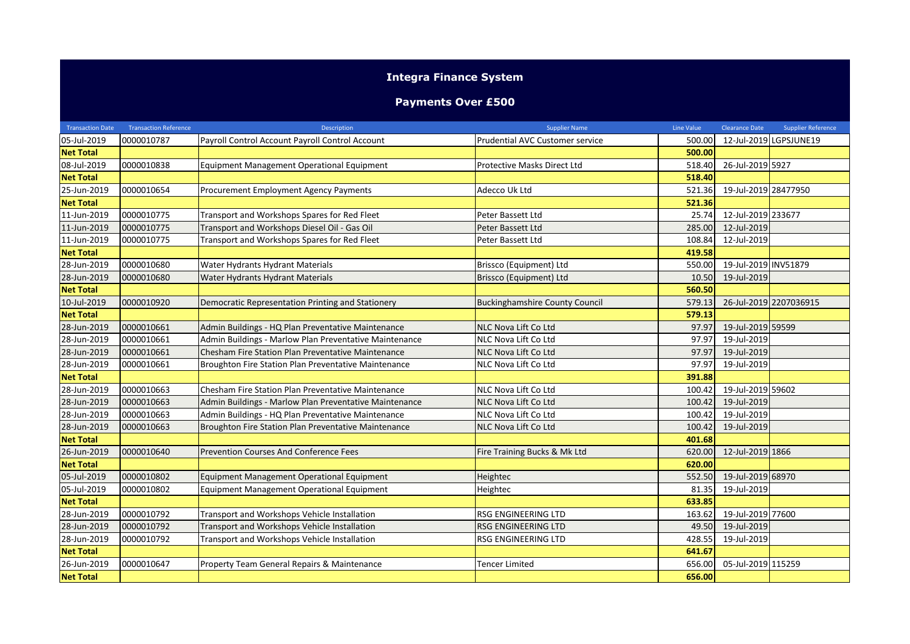## **Integra Finance System**

## **Payments Over £500**

| <b>Transaction Date</b> | <b>Transaction Reference</b> | <b>Description</b>                                     | <b>Supplier Name</b>                  | Line Value | <b>Clearance Date</b> | <b>Supplier Reference</b> |
|-------------------------|------------------------------|--------------------------------------------------------|---------------------------------------|------------|-----------------------|---------------------------|
| 05-Jul-2019             | 0000010787                   | Payroll Control Account Payroll Control Account        | Prudential AVC Customer service       | 500.00     |                       | 12-Jul-2019 LGPSJUNE19    |
| <b>Net Total</b>        |                              |                                                        |                                       | 500.00     |                       |                           |
| 08-Jul-2019             | 0000010838                   | Equipment Management Operational Equipment             | Protective Masks Direct Ltd           | 518.40     | 26-Jul-2019 5927      |                           |
| <b>Net Total</b>        |                              |                                                        |                                       | 518.40     |                       |                           |
| 25-Jun-2019             | 0000010654                   | Procurement Employment Agency Payments                 | Adecco Uk Ltd                         | 521.36     | 19-Jul-2019 28477950  |                           |
| <b>Net Total</b>        |                              |                                                        |                                       | 521.36     |                       |                           |
| 11-Jun-2019             | 0000010775                   | Transport and Workshops Spares for Red Fleet           | Peter Bassett Ltd                     | 25.74      | 12-Jul-2019 233677    |                           |
| 11-Jun-2019             | 0000010775                   | Transport and Workshops Diesel Oil - Gas Oil           | Peter Bassett Ltd                     | 285.00     | 12-Jul-2019           |                           |
| 11-Jun-2019             | 0000010775                   | Transport and Workshops Spares for Red Fleet           | Peter Bassett Ltd                     | 108.84     | 12-Jul-2019           |                           |
| <b>Net Total</b>        |                              |                                                        |                                       | 419.58     |                       |                           |
| 28-Jun-2019             | 0000010680                   | Water Hydrants Hydrant Materials                       | Brissco (Equipment) Ltd               | 550.00     | 19-Jul-2019 INV51879  |                           |
| 28-Jun-2019             | 0000010680                   | Water Hydrants Hydrant Materials                       | Brissco (Equipment) Ltd               | 10.50      | 19-Jul-2019           |                           |
| <b>Net Total</b>        |                              |                                                        |                                       | 560.50     |                       |                           |
| 10-Jul-2019             | 0000010920                   | Democratic Representation Printing and Stationery      | <b>Buckinghamshire County Council</b> | 579.13     |                       | 26-Jul-2019 2207036915    |
| <b>Net Total</b>        |                              |                                                        |                                       | 579.13     |                       |                           |
| 28-Jun-2019             | 0000010661                   | Admin Buildings - HQ Plan Preventative Maintenance     | <b>NLC Nova Lift Co Ltd</b>           | 97.97      | 19-Jul-2019 59599     |                           |
| 28-Jun-2019             | 0000010661                   | Admin Buildings - Marlow Plan Preventative Maintenance | NLC Nova Lift Co Ltd                  | 97.97      | 19-Jul-2019           |                           |
| 28-Jun-2019             | 0000010661                   | Chesham Fire Station Plan Preventative Maintenance     | NLC Nova Lift Co Ltd                  | 97.97      | 19-Jul-2019           |                           |
| 28-Jun-2019             | 0000010661                   | Broughton Fire Station Plan Preventative Maintenance   | NLC Nova Lift Co Ltd                  | 97.97      | 19-Jul-2019           |                           |
| <b>Net Total</b>        |                              |                                                        |                                       | 391.88     |                       |                           |
| 28-Jun-2019             | 0000010663                   | Chesham Fire Station Plan Preventative Maintenance     | NLC Nova Lift Co Ltd                  | 100.42     | 19-Jul-2019 59602     |                           |
| 28-Jun-2019             | 0000010663                   | Admin Buildings - Marlow Plan Preventative Maintenance | NLC Nova Lift Co Ltd                  | 100.42     | 19-Jul-2019           |                           |
| 28-Jun-2019             | 0000010663                   | Admin Buildings - HQ Plan Preventative Maintenance     | NLC Nova Lift Co Ltd                  | 100.42     | 19-Jul-2019           |                           |
| 28-Jun-2019             | 0000010663                   | Broughton Fire Station Plan Preventative Maintenance   | NLC Nova Lift Co Ltd                  | 100.42     | 19-Jul-2019           |                           |
| <b>Net Total</b>        |                              |                                                        |                                       | 401.68     |                       |                           |
| 26-Jun-2019             | 0000010640                   | Prevention Courses And Conference Fees                 | Fire Training Bucks & Mk Ltd          | 620.00     | 12-Jul-2019 1866      |                           |
| <b>Net Total</b>        |                              |                                                        |                                       | 620.00     |                       |                           |
| 05-Jul-2019             | 0000010802                   | Equipment Management Operational Equipment             | Heightec                              | 552.50     | 19-Jul-2019 68970     |                           |
| 05-Jul-2019             | 0000010802                   | Equipment Management Operational Equipment             | Heightec                              | 81.35      | 19-Jul-2019           |                           |
| <b>Net Total</b>        |                              |                                                        |                                       | 633.85     |                       |                           |
| 28-Jun-2019             | 0000010792                   | Transport and Workshops Vehicle Installation           | RSG ENGINEERING LTD                   | 163.62     | 19-Jul-2019 77600     |                           |
| 28-Jun-2019             | 0000010792                   | Transport and Workshops Vehicle Installation           | RSG ENGINEERING LTD                   | 49.50      | 19-Jul-2019           |                           |
| 28-Jun-2019             | 0000010792                   | Transport and Workshops Vehicle Installation           | RSG ENGINEERING LTD                   | 428.55     | 19-Jul-2019           |                           |
| <b>Net Total</b>        |                              |                                                        |                                       | 641.67     |                       |                           |
| 26-Jun-2019             | 0000010647                   | Property Team General Repairs & Maintenance            | <b>Tencer Limited</b>                 | 656.00     | 05-Jul-2019 115259    |                           |
| <b>Net Total</b>        |                              |                                                        |                                       | 656.00     |                       |                           |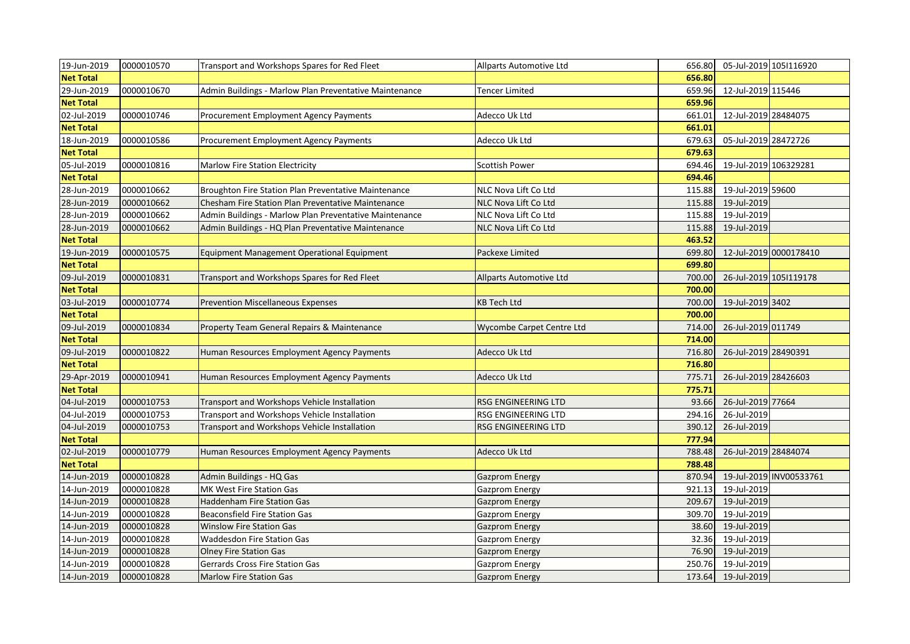| 19-Jun-2019      | 0000010570 | Transport and Workshops Spares for Red Fleet           | Allparts Automotive Ltd        | 656.80 | 05-Jul-2019 105 116920 |                         |
|------------------|------------|--------------------------------------------------------|--------------------------------|--------|------------------------|-------------------------|
| <b>Net Total</b> |            |                                                        |                                | 656.80 |                        |                         |
| 29-Jun-2019      | 0000010670 | Admin Buildings - Marlow Plan Preventative Maintenance | Tencer Limited                 | 659.96 | 12-Jul-2019 115446     |                         |
| <b>Net Total</b> |            |                                                        |                                | 659.96 |                        |                         |
| 02-Jul-2019      | 0000010746 | Procurement Employment Agency Payments                 | Adecco Uk Ltd                  | 661.01 | 12-Jul-2019 28484075   |                         |
| <b>Net Total</b> |            |                                                        |                                | 661.01 |                        |                         |
| 18-Jun-2019      | 0000010586 | Procurement Employment Agency Payments                 | Adecco Uk Ltd                  | 679.63 | 05-Jul-2019 28472726   |                         |
| <b>Net Total</b> |            |                                                        |                                | 679.63 |                        |                         |
| 05-Jul-2019      | 0000010816 | <b>Marlow Fire Station Electricity</b>                 | Scottish Power                 | 694.46 | 19-Jul-2019 106329281  |                         |
| <b>Net Total</b> |            |                                                        |                                | 694.46 |                        |                         |
| 28-Jun-2019      | 0000010662 | Broughton Fire Station Plan Preventative Maintenance   | NLC Nova Lift Co Ltd           | 115.88 | 19-Jul-2019 59600      |                         |
| 28-Jun-2019      | 0000010662 | Chesham Fire Station Plan Preventative Maintenance     | NLC Nova Lift Co Ltd           | 115.88 | 19-Jul-2019            |                         |
| 28-Jun-2019      | 0000010662 | Admin Buildings - Marlow Plan Preventative Maintenance | NLC Nova Lift Co Ltd           | 115.88 | 19-Jul-2019            |                         |
| 28-Jun-2019      | 0000010662 | Admin Buildings - HQ Plan Preventative Maintenance     | NLC Nova Lift Co Ltd           | 115.88 | 19-Jul-2019            |                         |
| <b>Net Total</b> |            |                                                        |                                | 463.52 |                        |                         |
| 19-Jun-2019      | 0000010575 | Equipment Management Operational Equipment             | Packexe Limited                | 699.80 |                        | 12-Jul-2019 0000178410  |
| <b>Net Total</b> |            |                                                        |                                | 699.80 |                        |                         |
| 09-Jul-2019      | 0000010831 | Transport and Workshops Spares for Red Fleet           | <b>Allparts Automotive Ltd</b> | 700.00 | 26-Jul-2019 105 119178 |                         |
| <b>Net Total</b> |            |                                                        |                                | 700.00 |                        |                         |
| 03-Jul-2019      | 0000010774 | <b>Prevention Miscellaneous Expenses</b>               | <b>KB Tech Ltd</b>             | 700.00 | 19-Jul-2019 3402       |                         |
| <b>Net Total</b> |            |                                                        |                                | 700.00 |                        |                         |
| 09-Jul-2019      | 0000010834 | Property Team General Repairs & Maintenance            | Wycombe Carpet Centre Ltd      | 714.00 | 26-Jul-2019 011749     |                         |
| <b>Net Total</b> |            |                                                        |                                | 714.00 |                        |                         |
| 09-Jul-2019      | 0000010822 | Human Resources Employment Agency Payments             | Adecco Uk Ltd                  | 716.80 | 26-Jul-2019 28490391   |                         |
| <b>Net Total</b> |            |                                                        |                                | 716.80 |                        |                         |
| 29-Apr-2019      | 0000010941 | Human Resources Employment Agency Payments             | Adecco Uk Ltd                  | 775.71 | 26-Jul-2019 28426603   |                         |
| <b>Net Total</b> |            |                                                        |                                | 775.71 |                        |                         |
| 04-Jul-2019      | 0000010753 | Transport and Workshops Vehicle Installation           | RSG ENGINEERING LTD            | 93.66  | 26-Jul-2019 77664      |                         |
| 04-Jul-2019      | 0000010753 | Transport and Workshops Vehicle Installation           | RSG ENGINEERING LTD            | 294.16 | 26-Jul-2019            |                         |
| 04-Jul-2019      | 0000010753 | Transport and Workshops Vehicle Installation           | RSG ENGINEERING LTD            | 390.12 | 26-Jul-2019            |                         |
| <b>Net Total</b> |            |                                                        |                                | 777.94 |                        |                         |
| 02-Jul-2019      | 0000010779 | Human Resources Employment Agency Payments             | Adecco Uk Ltd                  | 788.48 | 26-Jul-2019 28484074   |                         |
| <b>Net Total</b> |            |                                                        |                                | 788.48 |                        |                         |
| 14-Jun-2019      | 0000010828 | Admin Buildings - HQ Gas                               | <b>Gazprom Energy</b>          | 870.94 |                        | 19-Jul-2019 INV00533761 |
| 14-Jun-2019      | 0000010828 | MK West Fire Station Gas                               | <b>Gazprom Energy</b>          | 921.13 | 19-Jul-2019            |                         |
| 14-Jun-2019      | 0000010828 | Haddenham Fire Station Gas                             | Gazprom Energy                 | 209.67 | 19-Jul-2019            |                         |
| 14-Jun-2019      | 0000010828 | <b>Beaconsfield Fire Station Gas</b>                   | Gazprom Energy                 | 309.70 | 19-Jul-2019            |                         |
| 14-Jun-2019      | 0000010828 | <b>Winslow Fire Station Gas</b>                        | <b>Gazprom Energy</b>          | 38.60  | 19-Jul-2019            |                         |
| 14-Jun-2019      | 0000010828 | Waddesdon Fire Station Gas                             | <b>Gazprom Energy</b>          | 32.36  | 19-Jul-2019            |                         |
| 14-Jun-2019      | 0000010828 | <b>Olney Fire Station Gas</b>                          | <b>Gazprom Energy</b>          | 76.90  | 19-Jul-2019            |                         |
| 14-Jun-2019      | 0000010828 | <b>Gerrards Cross Fire Station Gas</b>                 | <b>Gazprom Energy</b>          | 250.76 | 19-Jul-2019            |                         |
| 14-Jun-2019      | 0000010828 | <b>Marlow Fire Station Gas</b>                         | <b>Gazprom Energy</b>          | 173.64 | 19-Jul-2019            |                         |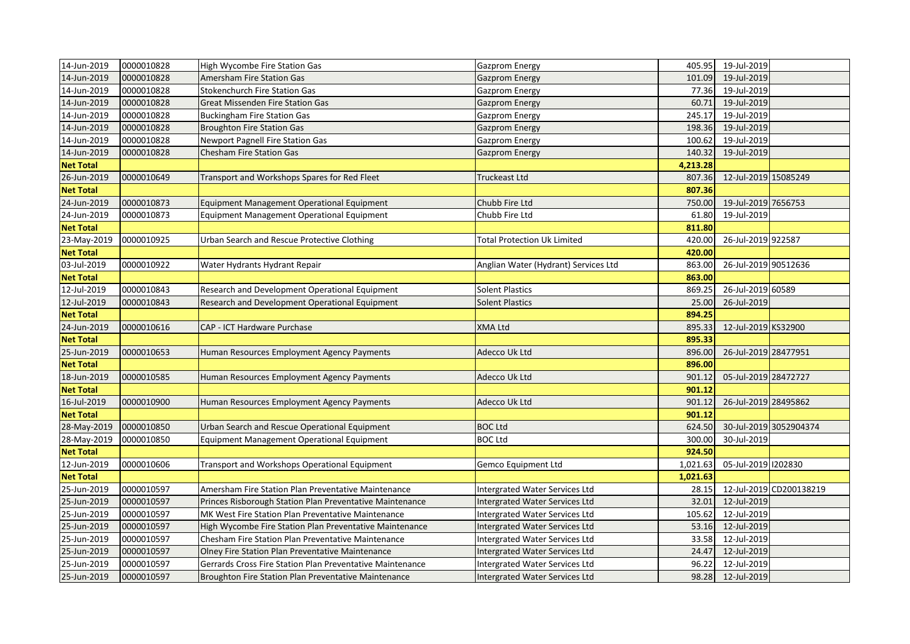| 14-Jun-2019      | 0000010828 | High Wycombe Fire Station Gas                               | <b>Gazprom Energy</b>                |          | 405.95 19-Jul-2019      |
|------------------|------------|-------------------------------------------------------------|--------------------------------------|----------|-------------------------|
| 14-Jun-2019      | 0000010828 | Amersham Fire Station Gas                                   | <b>Gazprom Energy</b>                | 101.09   | 19-Jul-2019             |
| 14-Jun-2019      | 0000010828 | <b>Stokenchurch Fire Station Gas</b>                        | <b>Gazprom Energy</b>                | 77.36    | 19-Jul-2019             |
| 14-Jun-2019      | 0000010828 | <b>Great Missenden Fire Station Gas</b>                     | <b>Gazprom Energy</b>                | 60.71    | 19-Jul-2019             |
| 14-Jun-2019      | 0000010828 | <b>Buckingham Fire Station Gas</b>                          | Gazprom Energy                       | 245.17   | 19-Jul-2019             |
| 14-Jun-2019      | 0000010828 | <b>Broughton Fire Station Gas</b>                           | <b>Gazprom Energy</b>                | 198.36   | 19-Jul-2019             |
| 14-Jun-2019      | 0000010828 | <b>Newport Pagnell Fire Station Gas</b>                     | <b>Gazprom Energy</b>                | 100.62   | 19-Jul-2019             |
| 14-Jun-2019      | 0000010828 | Chesham Fire Station Gas                                    | <b>Gazprom Energy</b>                | 140.32   | 19-Jul-2019             |
| <b>Net Total</b> |            |                                                             |                                      | 4,213.28 |                         |
| 26-Jun-2019      | 0000010649 | Transport and Workshops Spares for Red Fleet                | Truckeast Ltd                        | 807.36   | 12-Jul-2019 15085249    |
| <b>Net Total</b> |            |                                                             |                                      | 807.36   |                         |
| 24-Jun-2019      | 0000010873 | Equipment Management Operational Equipment                  | Chubb Fire Ltd                       | 750.00   | 19-Jul-2019 7656753     |
| 24-Jun-2019      | 0000010873 | Equipment Management Operational Equipment                  | Chubb Fire Ltd                       | 61.80    | 19-Jul-2019             |
| <b>Net Total</b> |            |                                                             |                                      | 811.80   |                         |
| 23-May-2019      | 0000010925 | Urban Search and Rescue Protective Clothing                 | <b>Total Protection Uk Limited</b>   | 420.00   | 26-Jul-2019 922587      |
| <b>Net Total</b> |            |                                                             |                                      | 420.00   |                         |
| 03-Jul-2019      | 0000010922 | Water Hydrants Hydrant Repair                               | Anglian Water (Hydrant) Services Ltd | 863.00   | 26-Jul-2019 90512636    |
| <b>Net Total</b> |            |                                                             |                                      | 863.00   |                         |
| 12-Jul-2019      | 0000010843 | Research and Development Operational Equipment              | <b>Solent Plastics</b>               | 869.25   | 26-Jul-2019 60589       |
| 12-Jul-2019      | 0000010843 | Research and Development Operational Equipment              | <b>Solent Plastics</b>               | 25.00    | 26-Jul-2019             |
| <b>Net Total</b> |            |                                                             |                                      | 894.25   |                         |
| 24-Jun-2019      | 0000010616 | CAP - ICT Hardware Purchase                                 | <b>XMA Ltd</b>                       | 895.33   | 12-Jul-2019 KS32900     |
| <b>Net Total</b> |            |                                                             |                                      | 895.33   |                         |
| 25-Jun-2019      | 0000010653 | Human Resources Employment Agency Payments                  | Adecco Uk Ltd                        | 896.00   | 26-Jul-2019 28477951    |
| <b>Net Total</b> |            |                                                             |                                      | 896.00   |                         |
| 18-Jun-2019      | 0000010585 | Human Resources Employment Agency Payments                  | Adecco Uk Ltd                        | 901.12   | 05-Jul-2019 28472727    |
| <b>Net Total</b> |            |                                                             |                                      | 901.12   |                         |
| 16-Jul-2019      | 0000010900 | Human Resources Employment Agency Payments                  | Adecco Uk Ltd                        | 901.12   | 26-Jul-2019 28495862    |
| <b>Net Total</b> |            |                                                             |                                      | 901.12   |                         |
| 28-May-2019      | 0000010850 | Urban Search and Rescue Operational Equipment               | <b>BOC Ltd</b>                       | 624.50   | 30-Jul-2019 3052904374  |
| 28-May-2019      | 0000010850 | Equipment Management Operational Equipment                  | <b>BOC Ltd</b>                       | 300.00   | 30-Jul-2019             |
| <b>Net Total</b> |            |                                                             |                                      | 924.50   |                         |
| 12-Jun-2019      | 0000010606 | Transport and Workshops Operational Equipment               | Gemco Equipment Ltd                  | 1,021.63 | 05-Jul-2019 1202830     |
| <b>Net Total</b> |            |                                                             |                                      | 1,021.63 |                         |
| 25-Jun-2019      | 0000010597 | Amersham Fire Station Plan Preventative Maintenance         | Intergrated Water Services Ltd       | 28.15    | 12-Jul-2019 CD200138219 |
| 25-Jun-2019      | 0000010597 | Princes Risborough Station Plan Preventative Maintenance    | Intergrated Water Services Ltd       | 32.01    | 12-Jul-2019             |
| 25-Jun-2019      | 0000010597 | MK West Fire Station Plan Preventative Maintenance          | Intergrated Water Services Ltd       | 105.62   | 12-Jul-2019             |
| 25-Jun-2019      | 0000010597 | High Wycombe Fire Station Plan Preventative Maintenance     | Intergrated Water Services Ltd       | 53.16    | 12-Jul-2019             |
| 25-Jun-2019      | 0000010597 | Chesham Fire Station Plan Preventative Maintenance          | Intergrated Water Services Ltd       | 33.58    | 12-Jul-2019             |
| 25-Jun-2019      | 0000010597 | Olney Fire Station Plan Preventative Maintenance            | Intergrated Water Services Ltd       | 24.47    | 12-Jul-2019             |
| 25-Jun-2019      | 0000010597 | Gerrards Cross Fire Station Plan Preventative Maintenance   | Intergrated Water Services Ltd       | 96.22    | 12-Jul-2019             |
| 25-Jun-2019      | 0000010597 | <b>Broughton Fire Station Plan Preventative Maintenance</b> | Intergrated Water Services Ltd       |          | 98.28 12-Jul-2019       |
|                  |            |                                                             |                                      |          |                         |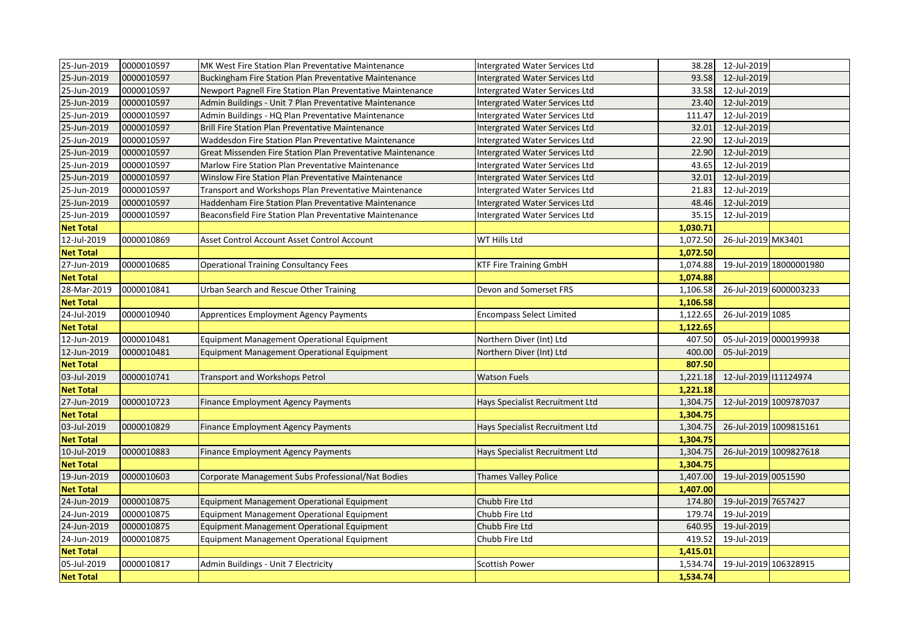| 25-Jun-2019      | 0000010597 | MK West Fire Station Plan Preventative Maintenance         | Intergrated Water Services Ltd        | 38.28    | 12-Jul-2019           |                         |
|------------------|------------|------------------------------------------------------------|---------------------------------------|----------|-----------------------|-------------------------|
| 25-Jun-2019      | 0000010597 | Buckingham Fire Station Plan Preventative Maintenance      | Intergrated Water Services Ltd        | 93.58    | 12-Jul-2019           |                         |
| 25-Jun-2019      | 0000010597 | Newport Pagnell Fire Station Plan Preventative Maintenance | Intergrated Water Services Ltd        | 33.58    | 12-Jul-2019           |                         |
| 25-Jun-2019      | 0000010597 | Admin Buildings - Unit 7 Plan Preventative Maintenance     | <b>Intergrated Water Services Ltd</b> | 23.40    | 12-Jul-2019           |                         |
| 25-Jun-2019      | 0000010597 | Admin Buildings - HQ Plan Preventative Maintenance         | Intergrated Water Services Ltd        | 111.47   | 12-Jul-2019           |                         |
| 25-Jun-2019      | 0000010597 | Brill Fire Station Plan Preventative Maintenance           | Intergrated Water Services Ltd        | 32.01    | 12-Jul-2019           |                         |
| 25-Jun-2019      | 0000010597 | Waddesdon Fire Station Plan Preventative Maintenance       | Intergrated Water Services Ltd        | 22.90    | 12-Jul-2019           |                         |
| 25-Jun-2019      | 0000010597 | Great Missenden Fire Station Plan Preventative Maintenance | Intergrated Water Services Ltd        | 22.90    | 12-Jul-2019           |                         |
| 25-Jun-2019      | 0000010597 | Marlow Fire Station Plan Preventative Maintenance          | Intergrated Water Services Ltd        | 43.65    | 12-Jul-2019           |                         |
| 25-Jun-2019      | 0000010597 | Winslow Fire Station Plan Preventative Maintenance         | Intergrated Water Services Ltd        | 32.01    | 12-Jul-2019           |                         |
| 25-Jun-2019      | 0000010597 | Transport and Workshops Plan Preventative Maintenance      | Intergrated Water Services Ltd        | 21.83    | 12-Jul-2019           |                         |
| 25-Jun-2019      | 0000010597 | Haddenham Fire Station Plan Preventative Maintenance       | Intergrated Water Services Ltd        | 48.46    | 12-Jul-2019           |                         |
| 25-Jun-2019      | 0000010597 | Beaconsfield Fire Station Plan Preventative Maintenance    | Intergrated Water Services Ltd        | 35.15    | 12-Jul-2019           |                         |
| <b>Net Total</b> |            |                                                            |                                       | 1,030.71 |                       |                         |
| 12-Jul-2019      | 0000010869 | Asset Control Account Asset Control Account                | WT Hills Ltd                          | 1,072.50 | 26-Jul-2019 MK3401    |                         |
| <b>Net Total</b> |            |                                                            |                                       | 1,072.50 |                       |                         |
| 27-Jun-2019      | 0000010685 | <b>Operational Training Consultancy Fees</b>               | <b>KTF Fire Training GmbH</b>         | 1,074.88 |                       | 19-Jul-2019 18000001980 |
| <b>Net Total</b> |            |                                                            |                                       | 1,074.88 |                       |                         |
| 28-Mar-2019      | 0000010841 | Urban Search and Rescue Other Training                     | Devon and Somerset FRS                | 1,106.58 |                       | 26-Jul-2019 6000003233  |
| <b>Net Total</b> |            |                                                            |                                       | 1,106.58 |                       |                         |
| 24-Jul-2019      | 0000010940 | <b>Apprentices Employment Agency Payments</b>              | <b>Encompass Select Limited</b>       | 1,122.65 | 26-Jul-2019 1085      |                         |
| <b>Net Total</b> |            |                                                            |                                       | 1,122.65 |                       |                         |
| 12-Jun-2019      | 0000010481 | Equipment Management Operational Equipment                 | Northern Diver (Int) Ltd              | 407.50   |                       | 05-Jul-2019 0000199938  |
| 12-Jun-2019      | 0000010481 | Equipment Management Operational Equipment                 | Northern Diver (Int) Ltd              | 400.00   | 05-Jul-2019           |                         |
| <b>Net Total</b> |            |                                                            |                                       | 807.50   |                       |                         |
| 03-Jul-2019      | 0000010741 | Transport and Workshops Petrol                             | <b>Watson Fuels</b>                   | 1,221.18 | 12-Jul-2019 111124974 |                         |
| <b>Net Total</b> |            |                                                            |                                       | 1,221.18 |                       |                         |
| 27-Jun-2019      | 0000010723 | Finance Employment Agency Payments                         | Hays Specialist Recruitment Ltd       | 1,304.75 |                       | 12-Jul-2019 1009787037  |
| <b>Net Total</b> |            |                                                            |                                       | 1,304.75 |                       |                         |
| 03-Jul-2019      | 0000010829 | <b>Finance Employment Agency Payments</b>                  | Hays Specialist Recruitment Ltd       | 1,304.75 |                       | 26-Jul-2019 1009815161  |
| <b>Net Total</b> |            |                                                            |                                       | 1,304.75 |                       |                         |
| 10-Jul-2019      | 0000010883 | <b>Finance Employment Agency Payments</b>                  | Hays Specialist Recruitment Ltd       | 1,304.75 |                       | 26-Jul-2019 1009827618  |
| <b>Net Total</b> |            |                                                            |                                       | 1,304.75 |                       |                         |
| 19-Jun-2019      | 0000010603 | Corporate Management Subs Professional/Nat Bodies          | <b>Thames Valley Police</b>           | 1,407.00 | 19-Jul-2019 0051590   |                         |
| <b>Net Total</b> |            |                                                            |                                       | 1,407.00 |                       |                         |
| 24-Jun-2019      | 0000010875 | Equipment Management Operational Equipment                 | Chubb Fire Ltd                        | 174.80   | 19-Jul-2019 7657427   |                         |
| 24-Jun-2019      | 0000010875 | Equipment Management Operational Equipment                 | Chubb Fire Ltd                        | 179.74   | 19-Jul-2019           |                         |
| 24-Jun-2019      | 0000010875 | Equipment Management Operational Equipment                 | Chubb Fire Ltd                        | 640.95   | 19-Jul-2019           |                         |
| 24-Jun-2019      | 0000010875 | Equipment Management Operational Equipment                 | Chubb Fire Ltd                        | 419.52   | 19-Jul-2019           |                         |
| <b>Net Total</b> |            |                                                            |                                       | 1,415.01 |                       |                         |
| 05-Jul-2019      | 0000010817 | Admin Buildings - Unit 7 Electricity                       | Scottish Power                        | 1,534.74 | 19-Jul-2019 106328915 |                         |
| <b>Net Total</b> |            |                                                            |                                       | 1,534.74 |                       |                         |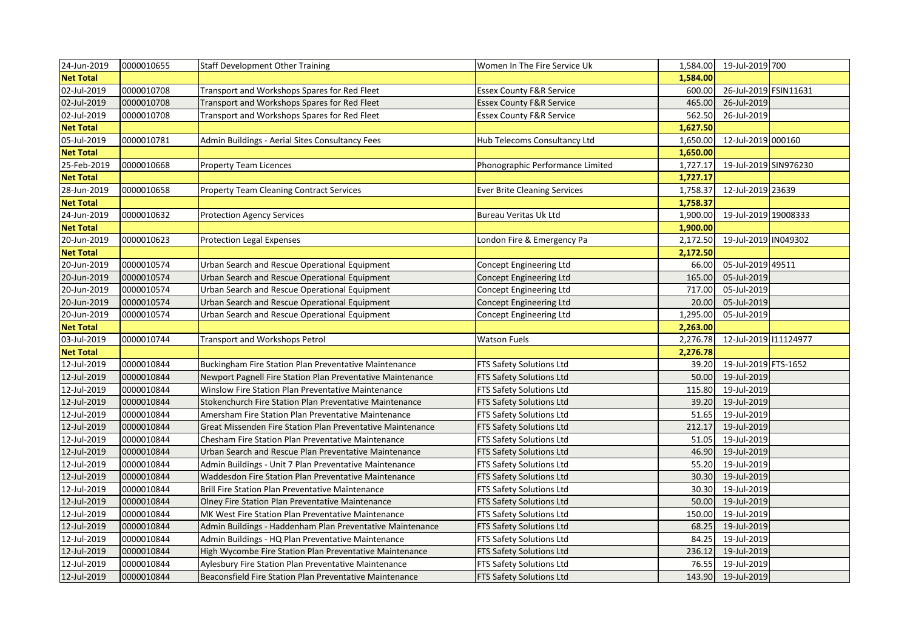| 24-Jun-2019      | 0000010655 | <b>Staff Development Other Training</b>                    | Women In The Fire Service Uk        | 1,584.00 | 19-Jul-2019 700       |  |
|------------------|------------|------------------------------------------------------------|-------------------------------------|----------|-----------------------|--|
| <b>Net Total</b> |            |                                                            |                                     | 1,584.00 |                       |  |
| 02-Jul-2019      | 0000010708 | Transport and Workshops Spares for Red Fleet               | <b>Essex County F&amp;R Service</b> | 600.00   | 26-Jul-2019 FSIN11631 |  |
| 02-Jul-2019      | 0000010708 | Transport and Workshops Spares for Red Fleet               | <b>Essex County F&amp;R Service</b> | 465.00   | 26-Jul-2019           |  |
| 02-Jul-2019      | 0000010708 | Transport and Workshops Spares for Red Fleet               | <b>Essex County F&amp;R Service</b> | 562.50   | 26-Jul-2019           |  |
| <b>Net Total</b> |            |                                                            |                                     | 1,627.50 |                       |  |
| 05-Jul-2019      | 0000010781 | Admin Buildings - Aerial Sites Consultancy Fees            | Hub Telecoms Consultancy Ltd        | 1,650.00 | 12-Jul-2019 000160    |  |
| <b>Net Total</b> |            |                                                            |                                     | 1,650.00 |                       |  |
| 25-Feb-2019      | 0000010668 | <b>Property Team Licences</b>                              | Phonographic Performance Limited    | 1,727.17 | 19-Jul-2019 SIN976230 |  |
| <b>Net Total</b> |            |                                                            |                                     | 1,727.17 |                       |  |
| 28-Jun-2019      | 0000010658 | <b>Property Team Cleaning Contract Services</b>            | <b>Ever Brite Cleaning Services</b> | 1,758.37 | 12-Jul-2019 23639     |  |
| <b>Net Total</b> |            |                                                            |                                     | 1,758.37 |                       |  |
| 24-Jun-2019      | 0000010632 | <b>Protection Agency Services</b>                          | <b>Bureau Veritas Uk Ltd</b>        | 1,900.00 | 19-Jul-2019 19008333  |  |
| <b>Net Total</b> |            |                                                            |                                     | 1,900.00 |                       |  |
| 20-Jun-2019      | 0000010623 | <b>Protection Legal Expenses</b>                           | London Fire & Emergency Pa          | 2,172.50 | 19-Jul-2019 IN049302  |  |
| <b>Net Total</b> |            |                                                            |                                     | 2,172.50 |                       |  |
| 20-Jun-2019      | 0000010574 | Urban Search and Rescue Operational Equipment              | Concept Engineering Ltd             | 66.00    | 05-Jul-2019 49511     |  |
| 20-Jun-2019      | 0000010574 | Urban Search and Rescue Operational Equipment              | Concept Engineering Ltd             | 165.00   | 05-Jul-2019           |  |
| 20-Jun-2019      | 0000010574 | Urban Search and Rescue Operational Equipment              | Concept Engineering Ltd             | 717.00   | 05-Jul-2019           |  |
| 20-Jun-2019      | 0000010574 | Urban Search and Rescue Operational Equipment              | Concept Engineering Ltd             | 20.00    | 05-Jul-2019           |  |
| 20-Jun-2019      | 0000010574 | Urban Search and Rescue Operational Equipment              | Concept Engineering Ltd             | 1,295.00 | 05-Jul-2019           |  |
|                  |            |                                                            |                                     |          |                       |  |
| <b>Net Total</b> |            |                                                            |                                     | 2,263.00 |                       |  |
| 03-Jul-2019      | 0000010744 | Transport and Workshops Petrol                             | <b>Watson Fuels</b>                 | 2,276.78 | 12-Jul-2019 111124977 |  |
| <b>Net Total</b> |            |                                                            |                                     | 2,276.78 |                       |  |
| 12-Jul-2019      | 0000010844 | Buckingham Fire Station Plan Preventative Maintenance      | <b>FTS Safety Solutions Ltd</b>     | 39.20    | 19-Jul-2019 FTS-1652  |  |
| 12-Jul-2019      | 0000010844 | Newport Pagnell Fire Station Plan Preventative Maintenance | <b>FTS Safety Solutions Ltd</b>     | 50.00    | 19-Jul-2019           |  |
| 12-Jul-2019      | 0000010844 | Winslow Fire Station Plan Preventative Maintenance         | <b>FTS Safety Solutions Ltd</b>     | 115.80   | 19-Jul-2019           |  |
| 12-Jul-2019      | 0000010844 | Stokenchurch Fire Station Plan Preventative Maintenance    | <b>FTS Safety Solutions Ltd</b>     | 39.20    | 19-Jul-2019           |  |
| 12-Jul-2019      | 0000010844 | Amersham Fire Station Plan Preventative Maintenance        | <b>FTS Safety Solutions Ltd</b>     | 51.65    | 19-Jul-2019           |  |
| 12-Jul-2019      | 0000010844 | Great Missenden Fire Station Plan Preventative Maintenance | FTS Safety Solutions Ltd            | 212.17   | 19-Jul-2019           |  |
| 12-Jul-2019      | 0000010844 | Chesham Fire Station Plan Preventative Maintenance         | <b>FTS Safety Solutions Ltd</b>     | 51.05    | 19-Jul-2019           |  |
| 12-Jul-2019      | 0000010844 | Urban Search and Rescue Plan Preventative Maintenance      | <b>FTS Safety Solutions Ltd</b>     | 46.90    | 19-Jul-2019           |  |
| 12-Jul-2019      | 0000010844 | Admin Buildings - Unit 7 Plan Preventative Maintenance     | <b>FTS Safety Solutions Ltd</b>     | 55.20    | 19-Jul-2019           |  |
| 12-Jul-2019      | 0000010844 | Waddesdon Fire Station Plan Preventative Maintenance       | <b>FTS Safety Solutions Ltd</b>     | 30.30    | 19-Jul-2019           |  |
| 12-Jul-2019      | 0000010844 | <b>Brill Fire Station Plan Preventative Maintenance</b>    | <b>FTS Safety Solutions Ltd</b>     | 30.30    | 19-Jul-2019           |  |
| 12-Jul-2019      | 0000010844 | Olney Fire Station Plan Preventative Maintenance           | <b>FTS Safety Solutions Ltd</b>     | 50.00    | 19-Jul-2019           |  |
| 12-Jul-2019      | 0000010844 | MK West Fire Station Plan Preventative Maintenance         | <b>FTS Safety Solutions Ltd</b>     | 150.00   | 19-Jul-2019           |  |
| 12-Jul-2019      | 0000010844 | Admin Buildings - Haddenham Plan Preventative Maintenance  | <b>FTS Safety Solutions Ltd</b>     | 68.25    | 19-Jul-2019           |  |
| 12-Jul-2019      | 0000010844 | Admin Buildings - HQ Plan Preventative Maintenance         | <b>FTS Safety Solutions Ltd</b>     | 84.25    | 19-Jul-2019           |  |
| 12-Jul-2019      | 0000010844 | High Wycombe Fire Station Plan Preventative Maintenance    | <b>FTS Safety Solutions Ltd</b>     | 236.12   | 19-Jul-2019           |  |
| 12-Jul-2019      | 0000010844 | Aylesbury Fire Station Plan Preventative Maintenance       | <b>FTS Safety Solutions Ltd</b>     | 76.55    | 19-Jul-2019           |  |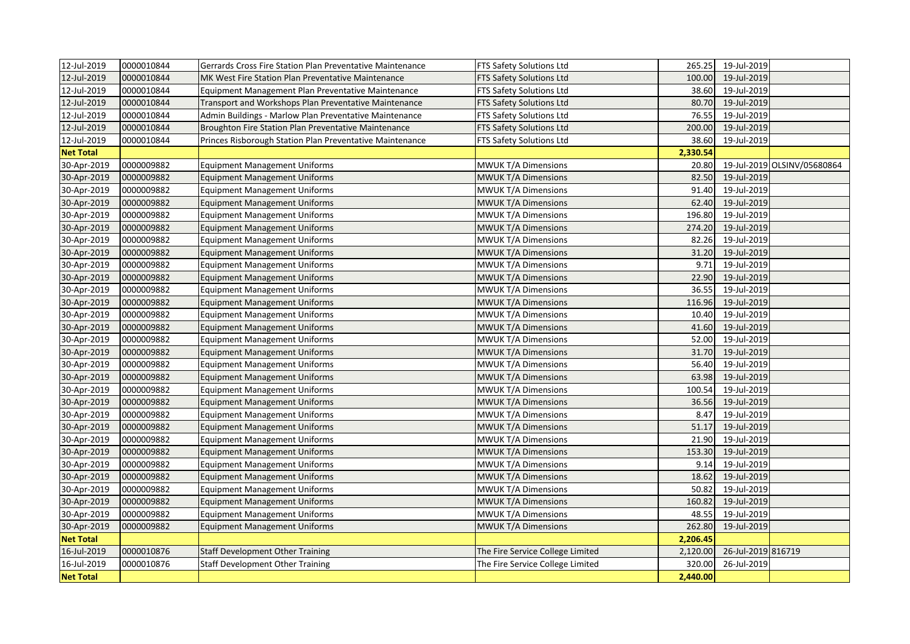| 12-Jul-2019      | 0000010844 | Gerrards Cross Fire Station Plan Preventative Maintenance | FTS Safety Solutions Ltd         | 265.25   | 19-Jul-2019        |                             |
|------------------|------------|-----------------------------------------------------------|----------------------------------|----------|--------------------|-----------------------------|
| 12-Jul-2019      | 0000010844 | MK West Fire Station Plan Preventative Maintenance        | FTS Safety Solutions Ltd         | 100.00   | 19-Jul-2019        |                             |
| 12-Jul-2019      | 0000010844 | Equipment Management Plan Preventative Maintenance        | FTS Safety Solutions Ltd         | 38.60    | 19-Jul-2019        |                             |
| 12-Jul-2019      | 0000010844 | Transport and Workshops Plan Preventative Maintenance     | FTS Safety Solutions Ltd         | 80.70    | 19-Jul-2019        |                             |
| 12-Jul-2019      | 0000010844 | Admin Buildings - Marlow Plan Preventative Maintenance    | FTS Safety Solutions Ltd         | 76.55    | 19-Jul-2019        |                             |
| 12-Jul-2019      | 0000010844 | Broughton Fire Station Plan Preventative Maintenance      | FTS Safety Solutions Ltd         | 200.00   | 19-Jul-2019        |                             |
| 12-Jul-2019      | 0000010844 | Princes Risborough Station Plan Preventative Maintenance  | FTS Safety Solutions Ltd         | 38.60    | 19-Jul-2019        |                             |
| <b>Net Total</b> |            |                                                           |                                  | 2,330.54 |                    |                             |
| 30-Apr-2019      | 0000009882 | <b>Equipment Management Uniforms</b>                      | <b>MWUK T/A Dimensions</b>       | 20.80    |                    | 19-Jul-2019 OLSINV/05680864 |
| 30-Apr-2019      | 0000009882 | <b>Equipment Management Uniforms</b>                      | <b>MWUK T/A Dimensions</b>       | 82.50    | 19-Jul-2019        |                             |
| 30-Apr-2019      | 0000009882 | <b>Equipment Management Uniforms</b>                      | <b>MWUK T/A Dimensions</b>       | 91.40    | 19-Jul-2019        |                             |
| 30-Apr-2019      | 0000009882 | <b>Equipment Management Uniforms</b>                      | <b>MWUK T/A Dimensions</b>       | 62.40    | 19-Jul-2019        |                             |
| 30-Apr-2019      | 0000009882 | <b>Equipment Management Uniforms</b>                      | <b>MWUK T/A Dimensions</b>       | 196.80   | 19-Jul-2019        |                             |
| 30-Apr-2019      | 0000009882 | <b>Equipment Management Uniforms</b>                      | MWUK T/A Dimensions              | 274.20   | 19-Jul-2019        |                             |
| 30-Apr-2019      | 0000009882 | <b>Equipment Management Uniforms</b>                      | <b>MWUK T/A Dimensions</b>       | 82.26    | 19-Jul-2019        |                             |
| 30-Apr-2019      | 0000009882 | <b>Equipment Management Uniforms</b>                      | <b>MWUK T/A Dimensions</b>       | 31.20    | 19-Jul-2019        |                             |
| 30-Apr-2019      | 0000009882 | <b>Equipment Management Uniforms</b>                      | <b>MWUK T/A Dimensions</b>       | 9.71     | 19-Jul-2019        |                             |
| 30-Apr-2019      | 0000009882 | <b>Equipment Management Uniforms</b>                      | MWUK T/A Dimensions              | 22.90    | 19-Jul-2019        |                             |
| 30-Apr-2019      | 0000009882 | <b>Equipment Management Uniforms</b>                      | MWUK T/A Dimensions              | 36.55    | 19-Jul-2019        |                             |
| 30-Apr-2019      | 0000009882 | <b>Equipment Management Uniforms</b>                      | <b>MWUK T/A Dimensions</b>       | 116.96   | 19-Jul-2019        |                             |
| 30-Apr-2019      | 0000009882 | <b>Equipment Management Uniforms</b>                      | <b>MWUK T/A Dimensions</b>       | 10.40    | 19-Jul-2019        |                             |
| 30-Apr-2019      | 0000009882 | <b>Equipment Management Uniforms</b>                      | <b>MWUK T/A Dimensions</b>       | 41.60    | 19-Jul-2019        |                             |
| 30-Apr-2019      | 0000009882 | <b>Equipment Management Uniforms</b>                      | MWUK T/A Dimensions              | 52.00    | 19-Jul-2019        |                             |
| 30-Apr-2019      | 0000009882 | <b>Equipment Management Uniforms</b>                      | <b>MWUK T/A Dimensions</b>       | 31.70    | 19-Jul-2019        |                             |
| 30-Apr-2019      | 0000009882 | <b>Equipment Management Uniforms</b>                      | <b>MWUK T/A Dimensions</b>       | 56.40    | 19-Jul-2019        |                             |
| 30-Apr-2019      | 0000009882 | <b>Equipment Management Uniforms</b>                      | <b>MWUK T/A Dimensions</b>       | 63.98    | 19-Jul-2019        |                             |
| 30-Apr-2019      | 0000009882 | <b>Equipment Management Uniforms</b>                      | <b>MWUK T/A Dimensions</b>       | 100.54   | 19-Jul-2019        |                             |
| 30-Apr-2019      | 0000009882 | <b>Equipment Management Uniforms</b>                      | <b>MWUK T/A Dimensions</b>       | 36.56    | 19-Jul-2019        |                             |
| 30-Apr-2019      | 0000009882 | <b>Equipment Management Uniforms</b>                      | <b>MWUK T/A Dimensions</b>       | 8.47     | 19-Jul-2019        |                             |
| 30-Apr-2019      | 0000009882 | <b>Equipment Management Uniforms</b>                      | <b>MWUK T/A Dimensions</b>       | 51.17    | 19-Jul-2019        |                             |
| 30-Apr-2019      | 0000009882 | <b>Equipment Management Uniforms</b>                      | MWUK T/A Dimensions              | 21.90    | 19-Jul-2019        |                             |
| 30-Apr-2019      | 0000009882 | <b>Equipment Management Uniforms</b>                      | MWUK T/A Dimensions              | 153.30   | 19-Jul-2019        |                             |
| 30-Apr-2019      | 0000009882 | <b>Equipment Management Uniforms</b>                      | MWUK T/A Dimensions              | 9.14     | 19-Jul-2019        |                             |
| 30-Apr-2019      | 0000009882 | <b>Equipment Management Uniforms</b>                      | <b>MWUK T/A Dimensions</b>       | 18.62    | 19-Jul-2019        |                             |
| 30-Apr-2019      | 0000009882 | <b>Equipment Management Uniforms</b>                      | MWUK T/A Dimensions              | 50.82    | 19-Jul-2019        |                             |
| 30-Apr-2019      | 0000009882 | <b>Equipment Management Uniforms</b>                      | <b>MWUK T/A Dimensions</b>       | 160.82   | 19-Jul-2019        |                             |
| 30-Apr-2019      | 0000009882 | <b>Equipment Management Uniforms</b>                      | MWUK T/A Dimensions              | 48.55    | 19-Jul-2019        |                             |
| 30-Apr-2019      | 0000009882 | <b>Equipment Management Uniforms</b>                      | <b>MWUK T/A Dimensions</b>       | 262.80   | 19-Jul-2019        |                             |
| <b>Net Total</b> |            |                                                           |                                  | 2,206.45 |                    |                             |
| 16-Jul-2019      | 0000010876 | <b>Staff Development Other Training</b>                   | The Fire Service College Limited | 2,120.00 | 26-Jul-2019 816719 |                             |
| 16-Jul-2019      | 0000010876 | <b>Staff Development Other Training</b>                   | The Fire Service College Limited | 320.00   | 26-Jul-2019        |                             |
| <b>Net Total</b> |            |                                                           |                                  | 2,440.00 |                    |                             |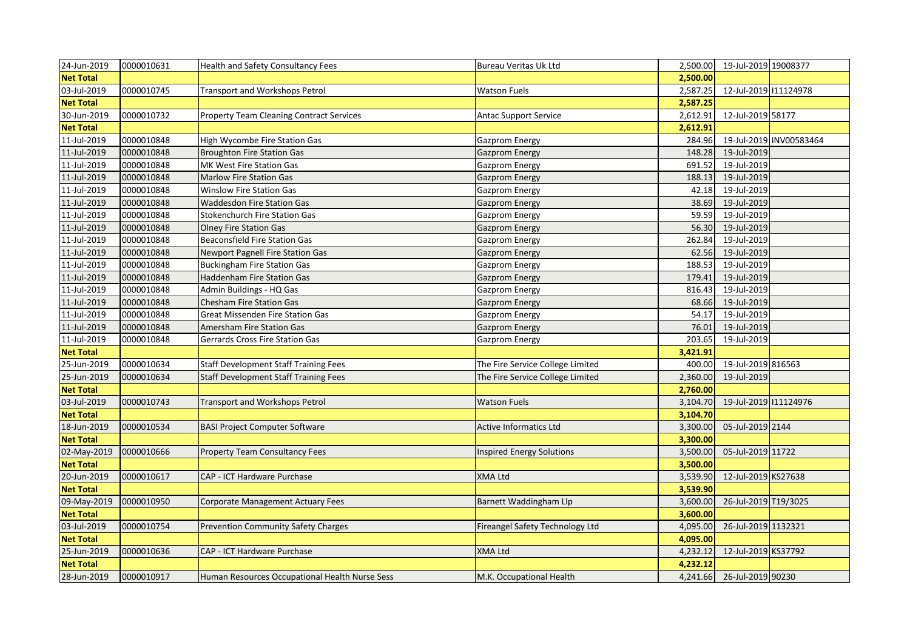| 24-Jun-2019      | 0000010631 | Health and Safety Consultancy Fees              | <b>Bureau Veritas Uk Ltd</b>     | 2,500.00 | 19-Jul-2019 19008377  |                         |
|------------------|------------|-------------------------------------------------|----------------------------------|----------|-----------------------|-------------------------|
| <b>Net Total</b> |            |                                                 |                                  | 2,500.00 |                       |                         |
| 03-Jul-2019      | 0000010745 | Transport and Workshops Petrol                  | <b>Watson Fuels</b>              | 2,587.25 | 12-Jul-2019 111124978 |                         |
| <b>Net Total</b> |            |                                                 |                                  | 2,587.25 |                       |                         |
| 30-Jun-2019      | 0000010732 | <b>Property Team Cleaning Contract Services</b> | <b>Antac Support Service</b>     | 2,612.91 | 12-Jul-2019 58177     |                         |
| <b>Net Total</b> |            |                                                 |                                  | 2,612.91 |                       |                         |
| 11-Jul-2019      | 0000010848 | High Wycombe Fire Station Gas                   | <b>Gazprom Energy</b>            | 284.96   |                       | 19-Jul-2019 INV00583464 |
| 11-Jul-2019      | 0000010848 | <b>Broughton Fire Station Gas</b>               | <b>Gazprom Energy</b>            | 148.28   | 19-Jul-2019           |                         |
| 11-Jul-2019      | 0000010848 | MK West Fire Station Gas                        | Gazprom Energy                   | 691.52   | 19-Jul-2019           |                         |
| 11-Jul-2019      | 0000010848 | <b>Marlow Fire Station Gas</b>                  | <b>Gazprom Energy</b>            | 188.13   | 19-Jul-2019           |                         |
| 11-Jul-2019      | 0000010848 | Winslow Fire Station Gas                        | <b>Gazprom Energy</b>            | 42.18    | 19-Jul-2019           |                         |
| 11-Jul-2019      | 0000010848 | <b>Waddesdon Fire Station Gas</b>               | <b>Gazprom Energy</b>            | 38.69    | 19-Jul-2019           |                         |
| 11-Jul-2019      | 0000010848 | <b>Stokenchurch Fire Station Gas</b>            | <b>Gazprom Energy</b>            | 59.59    | 19-Jul-2019           |                         |
| 11-Jul-2019      | 0000010848 | <b>Olney Fire Station Gas</b>                   | <b>Gazprom Energy</b>            | 56.30    | 19-Jul-2019           |                         |
| 11-Jul-2019      | 0000010848 | <b>Beaconsfield Fire Station Gas</b>            | <b>Gazprom Energy</b>            | 262.84   | 19-Jul-2019           |                         |
| 11-Jul-2019      | 0000010848 | <b>Newport Pagnell Fire Station Gas</b>         | <b>Gazprom Energy</b>            | 62.56    | 19-Jul-2019           |                         |
| 11-Jul-2019      | 0000010848 | <b>Buckingham Fire Station Gas</b>              | <b>Gazprom Energy</b>            | 188.53   | 19-Jul-2019           |                         |
| 11-Jul-2019      | 0000010848 | Haddenham Fire Station Gas                      | <b>Gazprom Energy</b>            | 179.41   | 19-Jul-2019           |                         |
| 11-Jul-2019      | 0000010848 | Admin Buildings - HQ Gas                        | <b>Gazprom Energy</b>            | 816.43   | 19-Jul-2019           |                         |
| 11-Jul-2019      | 0000010848 | <b>Chesham Fire Station Gas</b>                 | <b>Gazprom Energy</b>            | 68.66    | 19-Jul-2019           |                         |
| 11-Jul-2019      | 0000010848 | <b>Great Missenden Fire Station Gas</b>         | <b>Gazprom Energy</b>            | 54.17    | 19-Jul-2019           |                         |
| 11-Jul-2019      | 0000010848 | <b>Amersham Fire Station Gas</b>                | <b>Gazprom Energy</b>            | 76.01    | 19-Jul-2019           |                         |
| 11-Jul-2019      | 0000010848 | Gerrards Cross Fire Station Gas                 | Gazprom Energy                   | 203.65   | 19-Jul-2019           |                         |
| <b>Net Total</b> |            |                                                 |                                  | 3,421.91 |                       |                         |
| 25-Jun-2019      | 0000010634 | <b>Staff Development Staff Training Fees</b>    | The Fire Service College Limited | 400.00   | 19-Jul-2019 816563    |                         |
| 25-Jun-2019      | 0000010634 | <b>Staff Development Staff Training Fees</b>    | The Fire Service College Limited | 2,360.00 | 19-Jul-2019           |                         |
| <b>Net Total</b> |            |                                                 |                                  | 2,760.00 |                       |                         |
| 03-Jul-2019      | 0000010743 | <b>Transport and Workshops Petrol</b>           | <b>Watson Fuels</b>              | 3,104.70 | 19-Jul-2019 111124976 |                         |
| <b>Net Total</b> |            |                                                 |                                  | 3,104.70 |                       |                         |
| 18-Jun-2019      | 0000010534 | <b>BASI Project Computer Software</b>           | <b>Active Informatics Ltd</b>    | 3,300.00 | 05-Jul-2019 2144      |                         |
| <b>Net Total</b> |            |                                                 |                                  | 3,300.00 |                       |                         |
| 02-May-2019      | 0000010666 | <b>Property Team Consultancy Fees</b>           | Inspired Energy Solutions        | 3,500.00 | 05-Jul-2019 11722     |                         |
| <b>Net Total</b> |            |                                                 |                                  | 3,500.00 |                       |                         |
| 20-Jun-2019      | 0000010617 | CAP - ICT Hardware Purchase                     | <b>XMA Ltd</b>                   | 3,539.90 | 12-Jul-2019 KS27638   |                         |
| <b>Net Total</b> |            |                                                 |                                  | 3,539.90 |                       |                         |
| 09-May-2019      | 0000010950 | <b>Corporate Management Actuary Fees</b>        | Barnett Waddingham Llp           | 3,600.00 | 26-Jul-2019 T19/3025  |                         |
| <b>Net Total</b> |            |                                                 |                                  | 3,600.00 |                       |                         |
| 03-Jul-2019      | 0000010754 | <b>Prevention Community Safety Charges</b>      | Fireangel Safety Technology Ltd  | 4,095.00 | 26-Jul-2019 1132321   |                         |
| <b>Net Total</b> |            |                                                 |                                  | 4,095.00 |                       |                         |
| 25-Jun-2019      | 0000010636 | CAP - ICT Hardware Purchase                     | <b>XMA Ltd</b>                   | 4,232.12 | 12-Jul-2019 KS37792   |                         |
| <b>Net Total</b> |            |                                                 |                                  | 4,232.12 |                       |                         |
| 28-Jun-2019      | 0000010917 | Human Resources Occupational Health Nurse Sess  | M.K. Occupational Health         | 4,241.66 | 26-Jul-2019 90230     |                         |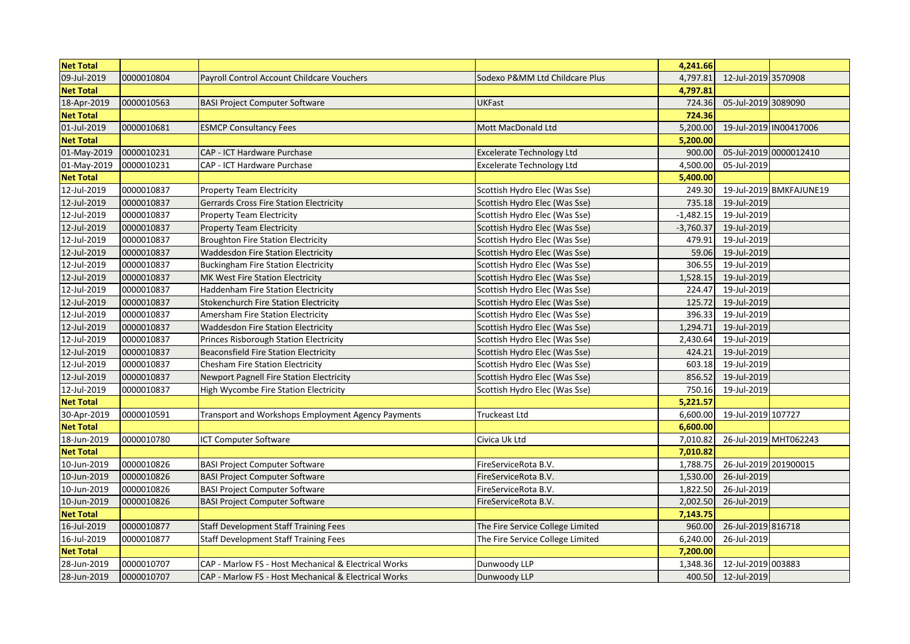| <b>Net Total</b> |            |                                                      |                                  | 4,241.66    |                       |                         |
|------------------|------------|------------------------------------------------------|----------------------------------|-------------|-----------------------|-------------------------|
| 09-Jul-2019      | 0000010804 | Payroll Control Account Childcare Vouchers           | Sodexo P&MM Ltd Childcare Plus   | 4,797.81    | 12-Jul-2019 3570908   |                         |
| <b>Net Total</b> |            |                                                      |                                  | 4,797.81    |                       |                         |
| 18-Apr-2019      | 0000010563 | <b>BASI Project Computer Software</b>                | <b>UKFast</b>                    | 724.36      | 05-Jul-2019 3089090   |                         |
| <b>Net Total</b> |            |                                                      |                                  | 724.36      |                       |                         |
| 01-Jul-2019      | 0000010681 | <b>ESMCP Consultancy Fees</b>                        | Mott MacDonald Ltd               | 5,200.00    |                       | 19-Jul-2019 IN00417006  |
| <b>Net Total</b> |            |                                                      |                                  | 5,200.00    |                       |                         |
| 01-May-2019      | 0000010231 | CAP - ICT Hardware Purchase                          | <b>Excelerate Technology Ltd</b> | 900.00      |                       | 05-Jul-2019 0000012410  |
| 01-May-2019      | 0000010231 | CAP - ICT Hardware Purchase                          | <b>Excelerate Technology Ltd</b> | 4,500.00    | 05-Jul-2019           |                         |
| <b>Net Total</b> |            |                                                      |                                  | 5,400.00    |                       |                         |
| 12-Jul-2019      | 0000010837 | <b>Property Team Electricity</b>                     | Scottish Hydro Elec (Was Sse)    | 249.30      |                       | 19-Jul-2019 BMKFAJUNE19 |
| 12-Jul-2019      | 0000010837 | <b>Gerrards Cross Fire Station Electricity</b>       | Scottish Hydro Elec (Was Sse)    | 735.18      | 19-Jul-2019           |                         |
| 12-Jul-2019      | 0000010837 | Property Team Electricity                            | Scottish Hydro Elec (Was Sse)    | $-1,482.15$ | 19-Jul-2019           |                         |
| 12-Jul-2019      | 0000010837 | <b>Property Team Electricity</b>                     | Scottish Hydro Elec (Was Sse)    | $-3,760.37$ | 19-Jul-2019           |                         |
| 12-Jul-2019      | 0000010837 | <b>Broughton Fire Station Electricity</b>            | Scottish Hydro Elec (Was Sse)    | 479.91      | 19-Jul-2019           |                         |
| 12-Jul-2019      | 0000010837 | <b>Waddesdon Fire Station Electricity</b>            | Scottish Hydro Elec (Was Sse)    | 59.06       | 19-Jul-2019           |                         |
| 12-Jul-2019      | 0000010837 | <b>Buckingham Fire Station Electricity</b>           | Scottish Hydro Elec (Was Sse)    | 306.55      | 19-Jul-2019           |                         |
| 12-Jul-2019      | 0000010837 | MK West Fire Station Electricity                     | Scottish Hydro Elec (Was Sse)    | 1,528.15    | 19-Jul-2019           |                         |
| 12-Jul-2019      | 0000010837 | <b>Haddenham Fire Station Electricity</b>            | Scottish Hydro Elec (Was Sse)    | 224.47      | 19-Jul-2019           |                         |
| 12-Jul-2019      | 0000010837 | <b>Stokenchurch Fire Station Electricity</b>         | Scottish Hydro Elec (Was Sse)    | 125.72      | 19-Jul-2019           |                         |
| 12-Jul-2019      | 0000010837 | Amersham Fire Station Electricity                    | Scottish Hydro Elec (Was Sse)    | 396.33      | 19-Jul-2019           |                         |
| 12-Jul-2019      | 0000010837 | <b>Waddesdon Fire Station Electricity</b>            | Scottish Hydro Elec (Was Sse)    | 1,294.71    | 19-Jul-2019           |                         |
| 12-Jul-2019      | 0000010837 | Princes Risborough Station Electricity               | Scottish Hydro Elec (Was Sse)    | 2,430.64    | 19-Jul-2019           |                         |
| 12-Jul-2019      | 0000010837 | <b>Beaconsfield Fire Station Electricity</b>         | Scottish Hydro Elec (Was Sse)    | 424.21      | 19-Jul-2019           |                         |
| 12-Jul-2019      | 0000010837 | <b>Chesham Fire Station Electricity</b>              | Scottish Hydro Elec (Was Sse)    | 603.18      | 19-Jul-2019           |                         |
| 12-Jul-2019      | 0000010837 | Newport Pagnell Fire Station Electricity             | Scottish Hydro Elec (Was Sse)    | 856.52      | 19-Jul-2019           |                         |
| 12-Jul-2019      | 0000010837 | High Wycombe Fire Station Electricity                | Scottish Hydro Elec (Was Sse)    | 750.16      | 19-Jul-2019           |                         |
| <b>Net Total</b> |            |                                                      |                                  | 5,221.57    |                       |                         |
| 30-Apr-2019      | 0000010591 | Transport and Workshops Employment Agency Payments   | Truckeast Ltd                    | 6,600.00    | 19-Jul-2019 107727    |                         |
| <b>Net Total</b> |            |                                                      |                                  | 6,600.00    |                       |                         |
| 18-Jun-2019      | 0000010780 | ICT Computer Software                                | Civica Uk Ltd                    | 7,010.82    |                       | 26-Jul-2019 MHT062243   |
| <b>Net Total</b> |            |                                                      |                                  | 7,010.82    |                       |                         |
| 10-Jun-2019      | 0000010826 | <b>BASI Project Computer Software</b>                | FireServiceRota B.V.             | 1,788.75    | 26-Jul-2019 201900015 |                         |
| 10-Jun-2019      | 0000010826 | <b>BASI Project Computer Software</b>                | FireServiceRota B.V.             | 1,530.00    | 26-Jul-2019           |                         |
| 10-Jun-2019      | 0000010826 | <b>BASI Project Computer Software</b>                | FireServiceRota B.V.             | 1,822.50    | 26-Jul-2019           |                         |
| 10-Jun-2019      | 0000010826 | <b>BASI Project Computer Software</b>                | FireServiceRota B.V.             | 2,002.50    | 26-Jul-2019           |                         |
| <b>Net Total</b> |            |                                                      |                                  | 7,143.75    |                       |                         |
| 16-Jul-2019      | 0000010877 | <b>Staff Development Staff Training Fees</b>         | The Fire Service College Limited | 960.00      | 26-Jul-2019 816718    |                         |
| 16-Jul-2019      | 0000010877 | <b>Staff Development Staff Training Fees</b>         | The Fire Service College Limited | 6,240.00    | 26-Jul-2019           |                         |
| <b>Net Total</b> |            |                                                      |                                  | 7.200.00    |                       |                         |
| 28-Jun-2019      | 0000010707 | CAP - Marlow FS - Host Mechanical & Electrical Works | Dunwoody LLP                     | 1,348.36    | 12-Jul-2019 003883    |                         |
| 28-Jun-2019      | 0000010707 | CAP - Marlow FS - Host Mechanical & Electrical Works | Dunwoody LLP                     | 400.50      | 12-Jul-2019           |                         |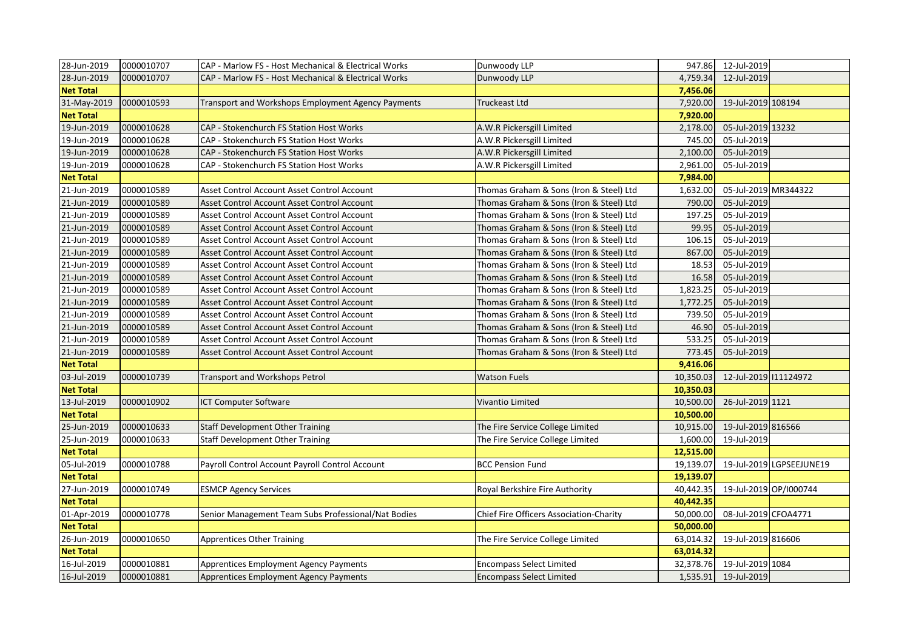| 28-Jun-2019      | 0000010707 | CAP - Marlow FS - Host Mechanical & Electrical Works | Dunwoody LLP                            |           | 947.86 12-Jul-2019     |                          |
|------------------|------------|------------------------------------------------------|-----------------------------------------|-----------|------------------------|--------------------------|
| 28-Jun-2019      | 0000010707 | CAP - Marlow FS - Host Mechanical & Electrical Works | Dunwoody LLP                            | 4,759.34  | 12-Jul-2019            |                          |
| <b>Net Total</b> |            |                                                      |                                         | 7,456.06  |                        |                          |
| 31-May-2019      | 0000010593 | Transport and Workshops Employment Agency Payments   | Truckeast Ltd                           | 7,920.00  | 19-Jul-2019 108194     |                          |
| <b>Net Total</b> |            |                                                      |                                         | 7,920.00  |                        |                          |
| 19-Jun-2019      | 0000010628 | CAP - Stokenchurch FS Station Host Works             | A.W.R Pickersgill Limited               | 2,178.00  | 05-Jul-2019 13232      |                          |
| 19-Jun-2019      | 0000010628 | CAP - Stokenchurch FS Station Host Works             | A.W.R Pickersgill Limited               | 745.00    | 05-Jul-2019            |                          |
| 19-Jun-2019      | 0000010628 | CAP - Stokenchurch FS Station Host Works             | A.W.R Pickersgill Limited               | 2,100.00  | 05-Jul-2019            |                          |
| 19-Jun-2019      | 0000010628 | CAP - Stokenchurch FS Station Host Works             | A.W.R Pickersgill Limited               | 2,961.00  | 05-Jul-2019            |                          |
| <b>Net Total</b> |            |                                                      |                                         | 7,984.00  |                        |                          |
| 21-Jun-2019      | 0000010589 | Asset Control Account Asset Control Account          | Thomas Graham & Sons (Iron & Steel) Ltd | 1,632.00  | 05-Jul-2019 MR344322   |                          |
| 21-Jun-2019      | 0000010589 | Asset Control Account Asset Control Account          | Thomas Graham & Sons (Iron & Steel) Ltd | 790.00    | 05-Jul-2019            |                          |
| 21-Jun-2019      | 0000010589 | Asset Control Account Asset Control Account          | Thomas Graham & Sons (Iron & Steel) Ltd | 197.25    | 05-Jul-2019            |                          |
| 21-Jun-2019      | 0000010589 | Asset Control Account Asset Control Account          | Thomas Graham & Sons (Iron & Steel) Ltd | 99.95     | 05-Jul-2019            |                          |
| 21-Jun-2019      | 0000010589 | Asset Control Account Asset Control Account          | Thomas Graham & Sons (Iron & Steel) Ltd | 106.15    | 05-Jul-2019            |                          |
| 21-Jun-2019      | 0000010589 | Asset Control Account Asset Control Account          | Thomas Graham & Sons (Iron & Steel) Ltd | 867.00    | 05-Jul-2019            |                          |
| 21-Jun-2019      | 0000010589 | Asset Control Account Asset Control Account          | Thomas Graham & Sons (Iron & Steel) Ltd | 18.53     | 05-Jul-2019            |                          |
| 21-Jun-2019      | 0000010589 | Asset Control Account Asset Control Account          | Thomas Graham & Sons (Iron & Steel) Ltd | 16.58     | 05-Jul-2019            |                          |
| 21-Jun-2019      | 0000010589 | Asset Control Account Asset Control Account          | Thomas Graham & Sons (Iron & Steel) Ltd | 1,823.25  | 05-Jul-2019            |                          |
| 21-Jun-2019      | 0000010589 | Asset Control Account Asset Control Account          | Thomas Graham & Sons (Iron & Steel) Ltd | 1,772.25  | 05-Jul-2019            |                          |
| 21-Jun-2019      | 0000010589 | Asset Control Account Asset Control Account          | Thomas Graham & Sons (Iron & Steel) Ltd | 739.50    | 05-Jul-2019            |                          |
| 21-Jun-2019      | 0000010589 | Asset Control Account Asset Control Account          | Thomas Graham & Sons (Iron & Steel) Ltd | 46.90     | 05-Jul-2019            |                          |
| 21-Jun-2019      | 0000010589 | Asset Control Account Asset Control Account          | Thomas Graham & Sons (Iron & Steel) Ltd | 533.25    | 05-Jul-2019            |                          |
| 21-Jun-2019      | 0000010589 | Asset Control Account Asset Control Account          | Thomas Graham & Sons (Iron & Steel) Ltd | 773.45    | 05-Jul-2019            |                          |
| <b>Net Total</b> |            |                                                      |                                         | 9,416.06  |                        |                          |
| 03-Jul-2019      | 0000010739 | Transport and Workshops Petrol                       | <b>Watson Fuels</b>                     | 10,350.03 | 12-Jul-2019 111124972  |                          |
| <b>Net Total</b> |            |                                                      |                                         | 10,350.03 |                        |                          |
| 13-Jul-2019      | 0000010902 | <b>ICT Computer Software</b>                         | Vivantio Limited                        | 10,500.00 | 26-Jul-2019 1121       |                          |
| <b>Net Total</b> |            |                                                      |                                         | 10,500.00 |                        |                          |
| 25-Jun-2019      | 0000010633 | <b>Staff Development Other Training</b>              | The Fire Service College Limited        | 10,915.00 | 19-Jul-2019 816566     |                          |
| 25-Jun-2019      | 0000010633 | <b>Staff Development Other Training</b>              | The Fire Service College Limited        | 1,600.00  | 19-Jul-2019            |                          |
| <b>Net Total</b> |            |                                                      |                                         | 12,515.00 |                        |                          |
| 05-Jul-2019      | 0000010788 | Payroll Control Account Payroll Control Account      | <b>BCC Pension Fund</b>                 | 19,139.07 |                        | 19-Jul-2019 LGPSEEJUNE19 |
| <b>Net Total</b> |            |                                                      |                                         | 19,139.07 |                        |                          |
| 27-Jun-2019      | 0000010749 | <b>ESMCP Agency Services</b>                         | Royal Berkshire Fire Authority          | 40,442.35 | 19-Jul-2019 OP/I000744 |                          |
| <b>Net Total</b> |            |                                                      |                                         | 40,442.35 |                        |                          |
| 01-Apr-2019      | 0000010778 | Senior Management Team Subs Professional/Nat Bodies  | Chief Fire Officers Association-Charity | 50,000.00 | 08-Jul-2019 CFOA4771   |                          |
| <b>Net Total</b> |            |                                                      |                                         | 50,000.00 |                        |                          |
| 26-Jun-2019      | 0000010650 | <b>Apprentices Other Training</b>                    | The Fire Service College Limited        | 63,014.32 | 19-Jul-2019 816606     |                          |
| <b>Net Total</b> |            |                                                      |                                         | 63,014.32 |                        |                          |
| 16-Jul-2019      | 0000010881 | <b>Apprentices Employment Agency Payments</b>        | <b>Encompass Select Limited</b>         | 32,378.76 | 19-Jul-2019 1084       |                          |
| 16-Jul-2019      | 0000010881 | Apprentices Employment Agency Payments               | <b>Encompass Select Limited</b>         | 1,535.91  | 19-Jul-2019            |                          |